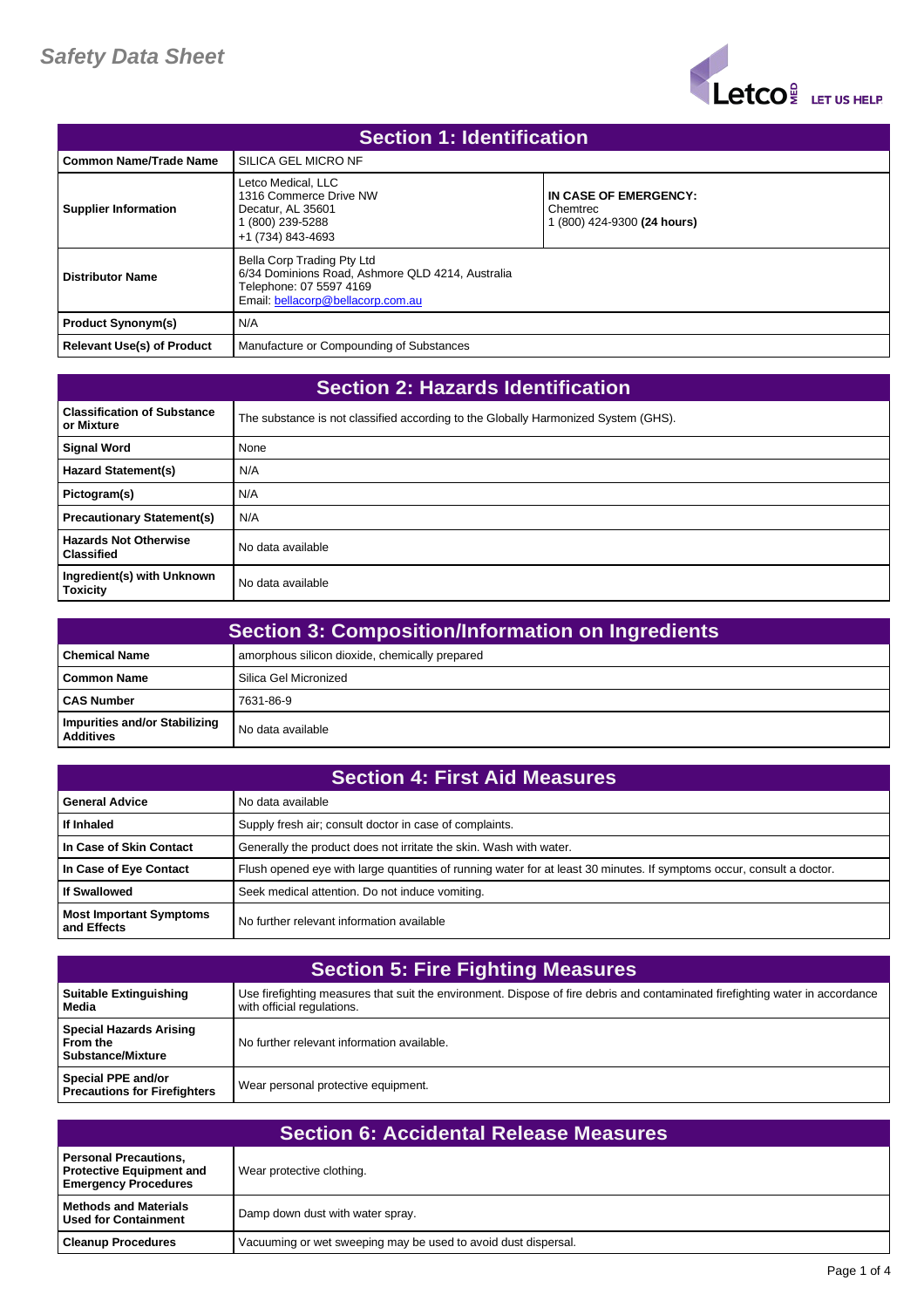

| <b>Section 1: Identification</b>  |                                                                                                                                                |                                                                  |
|-----------------------------------|------------------------------------------------------------------------------------------------------------------------------------------------|------------------------------------------------------------------|
| <b>Common Name/Trade Name</b>     | SILICA GEL MICRO NF                                                                                                                            |                                                                  |
| <b>Supplier Information</b>       | Letco Medical, LLC<br>1316 Commerce Drive NW<br>Decatur, AL 35601<br>(800) 239-5288<br>+1 (734) 843-4693                                       | IN CASE OF EMERGENCY:<br>Chemtrec<br>1 (800) 424-9300 (24 hours) |
| <b>Distributor Name</b>           | Bella Corp Trading Pty Ltd<br>6/34 Dominions Road, Ashmore QLD 4214, Australia<br>Telephone: 07 5597 4169<br>Email: bellacorp@bellacorp.com.au |                                                                  |
| <b>Product Synonym(s)</b>         | N/A                                                                                                                                            |                                                                  |
| <b>Relevant Use(s) of Product</b> | Manufacture or Compounding of Substances                                                                                                       |                                                                  |

| <b>Section 2: Hazards Identification</b>          |                                                                                    |
|---------------------------------------------------|------------------------------------------------------------------------------------|
| <b>Classification of Substance</b><br>or Mixture  | The substance is not classified according to the Globally Harmonized System (GHS). |
| <b>Signal Word</b>                                | None                                                                               |
| <b>Hazard Statement(s)</b>                        | N/A                                                                                |
| Pictogram(s)                                      | N/A                                                                                |
| <b>Precautionary Statement(s)</b>                 | N/A                                                                                |
| <b>Hazards Not Otherwise</b><br><b>Classified</b> | No data available                                                                  |
| Ingredient(s) with Unknown<br><b>Toxicity</b>     | No data available                                                                  |

| <b>Section 3: Composition/Information on Ingredients</b> |                                                |
|----------------------------------------------------------|------------------------------------------------|
| <b>Chemical Name</b>                                     | amorphous silicon dioxide, chemically prepared |
| Common Name                                              | Silica Gel Micronized                          |
| <b>CAS Number</b>                                        | 7631-86-9                                      |
| Impurities and/or Stabilizing<br>Additives               | No data available                              |

| <b>Section 4: First Aid Measures</b>          |                                                                                                                       |
|-----------------------------------------------|-----------------------------------------------------------------------------------------------------------------------|
| <b>General Advice</b>                         | No data available                                                                                                     |
| If Inhaled                                    | Supply fresh air; consult doctor in case of complaints.                                                               |
| In Case of Skin Contact                       | Generally the product does not irritate the skin. Wash with water.                                                    |
| In Case of Eye Contact                        | Flush opened eye with large quantities of running water for at least 30 minutes. If symptoms occur, consult a doctor. |
| <b>If Swallowed</b>                           | Seek medical attention. Do not induce vomiting.                                                                       |
| <b>Most Important Symptoms</b><br>and Effects | No further relevant information available                                                                             |

| <b>Section 5: Fire Fighting Measures</b>                          |                                                                                                                                                             |
|-------------------------------------------------------------------|-------------------------------------------------------------------------------------------------------------------------------------------------------------|
| <b>Suitable Extinguishing</b><br>Media                            | Use firefighting measures that suit the environment. Dispose of fire debris and contaminated firefighting water in accordance<br>with official regulations. |
| <b>Special Hazards Arising</b><br>l From the<br>Substance/Mixture | No further relevant information available.                                                                                                                  |
| <b>Special PPE and/or</b><br><b>Precautions for Firefighters</b>  | Wear personal protective equipment.                                                                                                                         |

| <b>Section 6: Accidental Release Measures</b>                                                  |                                                                |
|------------------------------------------------------------------------------------------------|----------------------------------------------------------------|
| <b>Personal Precautions,</b><br><b>Protective Equipment and</b><br><b>Emergency Procedures</b> | Wear protective clothing.                                      |
| <b>Methods and Materials</b><br><b>Used for Containment</b>                                    | Damp down dust with water spray.                               |
| <b>Cleanup Procedures</b>                                                                      | Vacuuming or wet sweeping may be used to avoid dust dispersal. |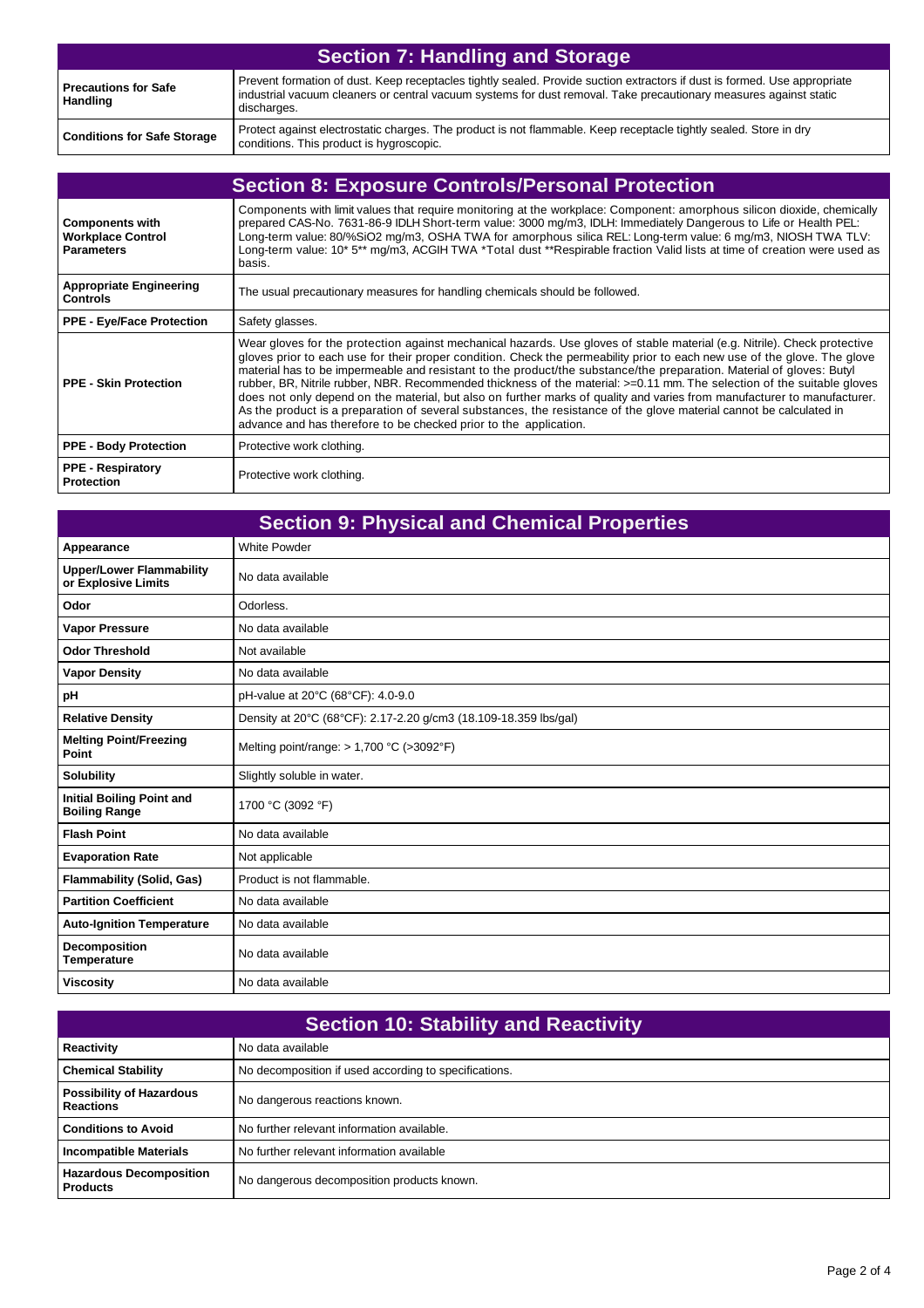| <b>Section 7: Handling and Storage</b>         |                                                                                                                                                                                                                                                               |
|------------------------------------------------|---------------------------------------------------------------------------------------------------------------------------------------------------------------------------------------------------------------------------------------------------------------|
| <b>Precautions for Safe</b><br><b>Handling</b> | Prevent formation of dust. Keep receptacles tightly sealed. Provide suction extractors if dust is formed. Use appropriate<br>industrial vacuum cleaners or central vacuum systems for dust removal. Take precautionary measures against static<br>discharges. |
| <b>Conditions for Safe Storage</b>             | Protect against electrostatic charges. The product is not flammable. Keep receptacle tightly sealed. Store in dry<br>conditions. This product is hygroscopic.                                                                                                 |

|                                                                         | <b>Section 8: Exposure Controls/Personal Protection</b>                                                                                                                                                                                                                                                                                                                                                                                                                                                                                                                                                                                                                                                                                                                                                                           |
|-------------------------------------------------------------------------|-----------------------------------------------------------------------------------------------------------------------------------------------------------------------------------------------------------------------------------------------------------------------------------------------------------------------------------------------------------------------------------------------------------------------------------------------------------------------------------------------------------------------------------------------------------------------------------------------------------------------------------------------------------------------------------------------------------------------------------------------------------------------------------------------------------------------------------|
| <b>Components with</b><br><b>Workplace Control</b><br><b>Parameters</b> | Components with limit values that require monitoring at the workplace: Component: amorphous silicon dioxide, chemically<br>prepared CAS-No. 7631-86-9 IDLH Short-term value: 3000 mg/m3, IDLH: Immediately Dangerous to Life or Health PEL:<br>Long-term value: 80/%SiO2 mg/m3, OSHA TWA for amorphous silica REL: Long-term value: 6 mg/m3, NIOSH TWA TLV:<br>Long-term value: 10* 5** mg/m3, ACGIH TWA *Total dust **Respirable fraction Valid lists at time of creation were used as<br>basis.                                                                                                                                                                                                                                                                                                                                 |
| <b>Appropriate Engineering</b><br><b>Controls</b>                       | The usual precautionary measures for handling chemicals should be followed.                                                                                                                                                                                                                                                                                                                                                                                                                                                                                                                                                                                                                                                                                                                                                       |
| <b>PPE - Eye/Face Protection</b>                                        | Safety glasses.                                                                                                                                                                                                                                                                                                                                                                                                                                                                                                                                                                                                                                                                                                                                                                                                                   |
| <b>PPE - Skin Protection</b>                                            | Wear gloves for the protection against mechanical hazards. Use gloves of stable material (e.g. Nitrile). Check protective<br>gloves prior to each use for their proper condition. Check the permeability prior to each new use of the glove. The glove<br>material has to be impermeable and resistant to the product/the substance/the preparation. Material of gloves: Butyl<br>rubber, BR, Nitrile rubber, NBR. Recommended thickness of the material: >=0.11 mm. The selection of the suitable gloves<br>does not only depend on the material, but also on further marks of quality and varies from manufacturer to manufacturer.<br>As the product is a preparation of several substances, the resistance of the glove material cannot be calculated in<br>advance and has therefore to be checked prior to the application. |
| <b>PPE - Body Protection</b>                                            | Protective work clothing.                                                                                                                                                                                                                                                                                                                                                                                                                                                                                                                                                                                                                                                                                                                                                                                                         |
| <b>PPE - Respiratory</b><br><b>Protection</b>                           | Protective work clothing.                                                                                                                                                                                                                                                                                                                                                                                                                                                                                                                                                                                                                                                                                                                                                                                                         |

| <b>Section 9: Physical and Chemical Properties</b>       |                                                                  |
|----------------------------------------------------------|------------------------------------------------------------------|
| Appearance                                               | <b>White Powder</b>                                              |
| <b>Upper/Lower Flammability</b><br>or Explosive Limits   | No data available                                                |
| Odor                                                     | Odorless.                                                        |
| <b>Vapor Pressure</b>                                    | No data available                                                |
| <b>Odor Threshold</b>                                    | Not available                                                    |
| <b>Vapor Density</b>                                     | No data available                                                |
| pH                                                       | pH-value at 20°C (68°CF): 4.0-9.0                                |
| <b>Relative Density</b>                                  | Density at 20°C (68°CF): 2.17-2.20 g/cm3 (18.109-18.359 lbs/gal) |
| <b>Melting Point/Freezing</b><br>Point                   | Melting point/range: $> 1,700 °C$ ( $>3092 °F$ )                 |
| <b>Solubility</b>                                        | Slightly soluble in water.                                       |
| <b>Initial Boiling Point and</b><br><b>Boiling Range</b> | 1700 °C (3092 °F)                                                |
| <b>Flash Point</b>                                       | No data available                                                |
| <b>Evaporation Rate</b>                                  | Not applicable                                                   |
| <b>Flammability (Solid, Gas)</b>                         | Product is not flammable.                                        |
| <b>Partition Coefficient</b>                             | No data available                                                |
| <b>Auto-Ignition Temperature</b>                         | No data available                                                |
| Decomposition<br>Temperature                             | No data available                                                |
| <b>Viscosity</b>                                         | No data available                                                |

| <b>Section 10: Stability and Reactivity</b>         |                                                       |
|-----------------------------------------------------|-------------------------------------------------------|
| <b>Reactivity</b>                                   | No data available                                     |
| <b>Chemical Stability</b>                           | No decomposition if used according to specifications. |
| <b>Possibility of Hazardous</b><br><b>Reactions</b> | No dangerous reactions known.                         |
| <b>Conditions to Avoid</b>                          | No further relevant information available.            |
| <b>Incompatible Materials</b>                       | No further relevant information available             |
| <b>Hazardous Decomposition</b><br><b>Products</b>   | No dangerous decomposition products known.            |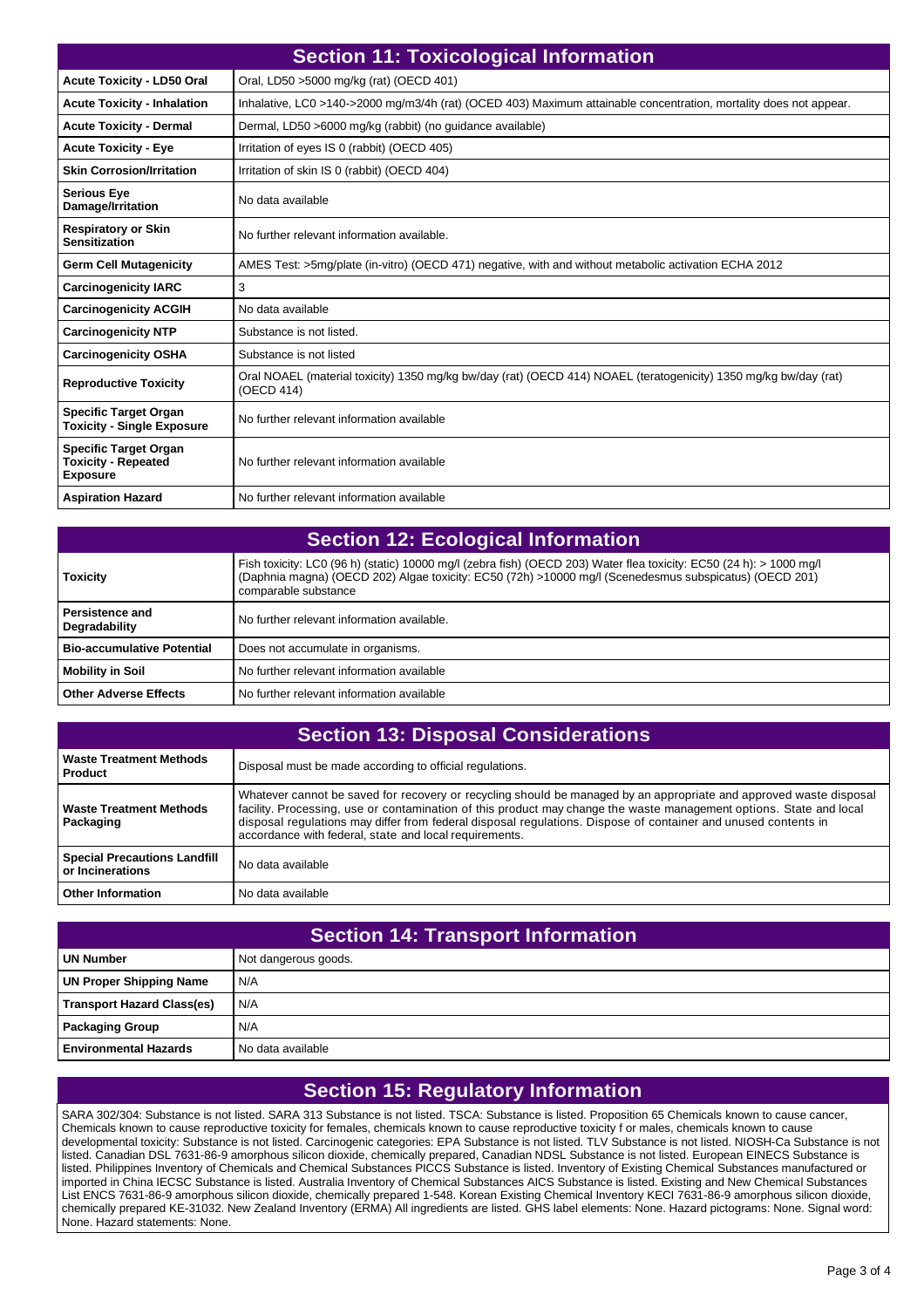| <b>Section 11: Toxicological Information</b>                                  |                                                                                                                                |
|-------------------------------------------------------------------------------|--------------------------------------------------------------------------------------------------------------------------------|
| <b>Acute Toxicity - LD50 Oral</b>                                             | Oral, LD50 >5000 mg/kg (rat) (OECD 401)                                                                                        |
| <b>Acute Toxicity - Inhalation</b>                                            | Inhalative, LC0 >140->2000 mq/m3/4h (rat) (OCED 403) Maximum attainable concentration, mortality does not appear.              |
| <b>Acute Toxicity - Dermal</b>                                                | Dermal, LD50 >6000 mg/kg (rabbit) (no guidance available)                                                                      |
| <b>Acute Toxicity - Eye</b>                                                   | Irritation of eyes IS 0 (rabbit) (OECD 405)                                                                                    |
| <b>Skin Corrosion/Irritation</b>                                              | Irritation of skin IS 0 (rabbit) (OECD 404)                                                                                    |
| <b>Serious Eye</b><br>Damage/Irritation                                       | No data available                                                                                                              |
| <b>Respiratory or Skin</b><br><b>Sensitization</b>                            | No further relevant information available.                                                                                     |
| <b>Germ Cell Mutagenicity</b>                                                 | AMES Test: >5mg/plate (in-vitro) (OECD 471) negative, with and without metabolic activation ECHA 2012                          |
| <b>Carcinogenicity IARC</b>                                                   | 3                                                                                                                              |
| <b>Carcinogenicity ACGIH</b>                                                  | No data available                                                                                                              |
| <b>Carcinogenicity NTP</b>                                                    | Substance is not listed.                                                                                                       |
| <b>Carcinogenicity OSHA</b>                                                   | Substance is not listed                                                                                                        |
| <b>Reproductive Toxicity</b>                                                  | Oral NOAEL (material toxicity) 1350 mg/kg bw/day (rat) (OECD 414) NOAEL (teratogenicity) 1350 mg/kg bw/day (rat)<br>(OECD 414) |
| <b>Specific Target Organ</b><br><b>Toxicity - Single Exposure</b>             | No further relevant information available                                                                                      |
| <b>Specific Target Organ</b><br><b>Toxicity - Repeated</b><br><b>Exposure</b> | No further relevant information available                                                                                      |
| <b>Aspiration Hazard</b>                                                      | No further relevant information available                                                                                      |

| <b>Section 12: Ecological Information</b> |                                                                                                                                                                                                                                                       |
|-------------------------------------------|-------------------------------------------------------------------------------------------------------------------------------------------------------------------------------------------------------------------------------------------------------|
| <b>Toxicity</b>                           | Fish toxicity: LC0 (96 h) (static) 10000 mg/l (zebra fish) (OECD 203) Water flea toxicity: EC50 (24 h): > 1000 mg/l<br>(Daphnia magna) (OECD 202) Algae toxicity: EC50 (72h) >10000 mg/l (Scenedesmus subspicatus) (OECD 201)<br>comparable substance |
| Persistence and<br>Degradability          | No further relevant information available.                                                                                                                                                                                                            |
| <b>Bio-accumulative Potential</b>         | Does not accumulate in organisms.                                                                                                                                                                                                                     |
| <b>Mobility in Soil</b>                   | No further relevant information available                                                                                                                                                                                                             |
| <b>Other Adverse Effects</b>              | No further relevant information available                                                                                                                                                                                                             |

| <b>Section 13: Disposal Considerations</b>              |                                                                                                                                                                                                                                                                                                                                                                                                                       |  |
|---------------------------------------------------------|-----------------------------------------------------------------------------------------------------------------------------------------------------------------------------------------------------------------------------------------------------------------------------------------------------------------------------------------------------------------------------------------------------------------------|--|
| <b>Waste Treatment Methods</b><br><b>Product</b>        | Disposal must be made according to official regulations.                                                                                                                                                                                                                                                                                                                                                              |  |
| <b>Waste Treatment Methods</b><br>Packaging             | Whatever cannot be saved for recovery or recycling should be managed by an appropriate and approved waste disposal<br>facility. Processing, use or contamination of this product may change the waste management options. State and local<br>disposal regulations may differ from federal disposal regulations. Dispose of container and unused contents in<br>accordance with federal, state and local requirements. |  |
| <b>Special Precautions Landfill</b><br>or Incinerations | No data available                                                                                                                                                                                                                                                                                                                                                                                                     |  |
| <b>Other Information</b>                                | No data available                                                                                                                                                                                                                                                                                                                                                                                                     |  |

| <b>Section 14: Transport Information</b> |                      |
|------------------------------------------|----------------------|
| <b>UN Number</b>                         | Not dangerous goods. |
| <b>UN Proper Shipping Name</b>           | N/A                  |
| <b>Transport Hazard Class(es)</b>        | N/A                  |
| <b>Packaging Group</b>                   | N/A                  |
| l Environmental Hazards                  | No data available    |

## **Section 15: Regulatory Information**

SARA 302/304: Substance is not listed. SARA 313 Substance is not listed. TSCA: Substance is listed. Proposition 65 Chemicals known to cause cancer, Chemicals known to cause reproductive toxicity for females, chemicals known to cause reproductive toxicity f or males, chemicals known to cause developmental toxicity: Substance is not listed. Carcinogenic categories: EPA Substance is not listed. TLV Substance is not listed. NIOSH-Ca Substance is not listed. Canadian DSL 7631-86-9 amorphous silicon dioxide, chemically prepared, Canadian NDSL Substance is not listed. European EINECS Substance is listed. Philippines Inventory of Chemicals and Chemical Substances PICCS Substance is listed. Inventory of Existing Chemical Substances manufactured or imported in China IECSC Substance is listed. Australia Inventory of Chemical Substances AICS Substance is listed. Existing and New Chemical Substances List ENCS 7631-86-9 amorphous silicon dioxide, chemically prepared 1-548. Korean Existing Chemical Inventory KECI 7631-86-9 amorphous silicon dioxide, chemically prepared KE-31032. New Zealand Inventory (ERMA) All ingredients are listed. GHS label elements: None. Hazard pictograms: None. Signal word: None. Hazard statements: None.